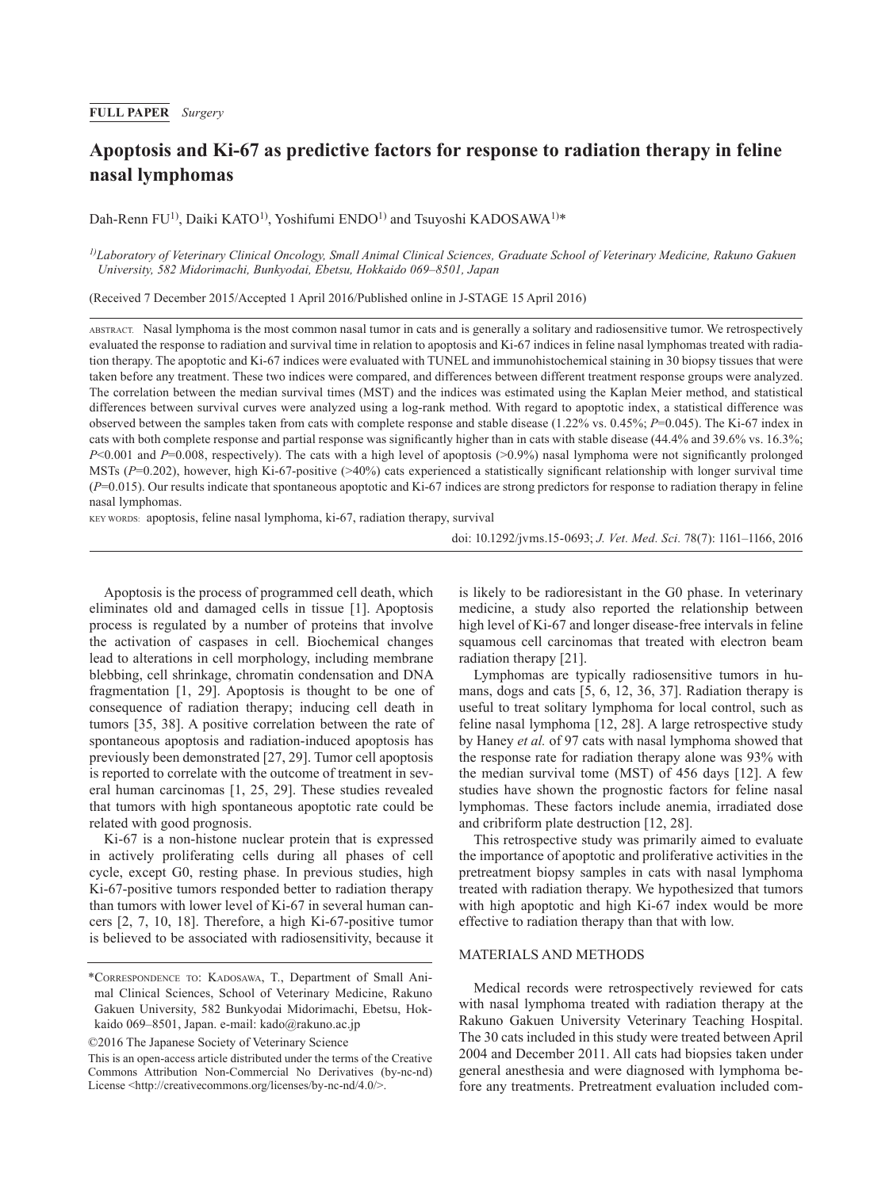### **FULL PAPER** *Surgery*

# **Apoptosis and Ki-67 as predictive factors for response to radiation therapy in feline nasal lymphomas**

Dah-Renn FU<sup>1)</sup>, Daiki KATO<sup>1)</sup>, Yoshifumi ENDO<sup>1)</sup> and Tsuvoshi KADOSAWA<sup>1)\*</sup>

*1)Laboratory of Veterinary Clinical Oncology, Small Animal Clinical Sciences, Graduate School of Veterinary Medicine, Rakuno Gakuen University, 582 Midorimachi, Bunkyodai, Ebetsu, Hokkaido 069–8501, Japan*

(Received 7 December 2015/Accepted 1 April 2016/Published online in J-STAGE 15 April 2016)

ABSTRACT. Nasal lymphoma is the most common nasal tumor in cats and is generally a solitary and radiosensitive tumor. We retrospectively evaluated the response to radiation and survival time in relation to apoptosis and Ki-67 indices in feline nasal lymphomas treated with radiation therapy. The apoptotic and Ki-67 indices were evaluated with TUNEL and immunohistochemical staining in 30 biopsy tissues that were taken before any treatment. These two indices were compared, and differences between different treatment response groups were analyzed. The correlation between the median survival times (MST) and the indices was estimated using the Kaplan Meier method, and statistical differences between survival curves were analyzed using a log-rank method. With regard to apoptotic index, a statistical difference was observed between the samples taken from cats with complete response and stable disease (1.22% vs. 0.45%; *P*=0.045). The Ki-67 index in cats with both complete response and partial response was significantly higher than in cats with stable disease (44.4% and 39.6% vs. 16.3%; *P*<0.001 and *P*=0.008, respectively). The cats with a high level of apoptosis (>0.9%) nasal lymphoma were not significantly prolonged MSTs ( $P=0.202$ ), however, high Ki-67-positive (>40%) cats experienced a statistically significant relationship with longer survival time (*P*=0.015). Our results indicate that spontaneous apoptotic and Ki-67 indices are strong predictors for response to radiation therapy in feline nasal lymphomas.

KEY WORDS: apoptosis, feline nasal lymphoma, ki-67, radiation therapy, survival

doi: 10.1292/jvms.15-0693; *J. Vet. Med. Sci.* 78(7): 1161–1166, 2016

Apoptosis is the process of programmed cell death, which eliminates old and damaged cells in tissue [[1](#page-4-0)]. Apoptosis process is regulated by a number of proteins that involve the activation of caspases in cell. Biochemical changes lead to alterations in cell morphology, including membrane blebbing, cell shrinkage, chromatin condensation and DNA fragmentation [[1, 29\]](#page-4-0). Apoptosis is thought to be one of consequence of radiation therapy; inducing cell death in tumors [[35, 38](#page-5-0)]. A positive correlation between the rate of spontaneous apoptosis and radiation-induced apoptosis has previously been demonstrated [[27, 29](#page-5-1)]. Tumor cell apoptosis is reported to correlate with the outcome of treatment in several human carcinomas [[1, 25, 29\]](#page-4-0). These studies revealed that tumors with high spontaneous apoptotic rate could be related with good prognosis.

Ki-67 is a non-histone nuclear protein that is expressed in actively proliferating cells during all phases of cell cycle, except G0, resting phase. In previous studies, high Ki-67-positive tumors responded better to radiation therapy than tumors with lower level of Ki-67 in several human cancers [\[2, 7, 10, 18](#page-4-1)]. Therefore, a high Ki-67-positive tumor is believed to be associated with radiosensitivity, because it

©2016 The Japanese Society of Veterinary Science

is likely to be radioresistant in the G0 phase. In veterinary medicine, a study also reported the relationship between high level of Ki-67 and longer disease-free intervals in feline squamous cell carcinomas that treated with electron beam radiation therapy [[21](#page-4-2)].

Lymphomas are typically radiosensitive tumors in humans, dogs and cats [\[5, 6, 12, 36, 37](#page-4-3)]. Radiation therapy is useful to treat solitary lymphoma for local control, such as feline nasal lymphoma [[12, 28](#page-4-4)]. A large retrospective study by Haney *et al.* of 97 cats with nasal lymphoma showed that the response rate for radiation therapy alone was 93% with the median survival tome (MST) of 456 days [\[12\]](#page-4-4). A few studies have shown the prognostic factors for feline nasal lymphomas. These factors include anemia, irradiated dose and cribriform plate destruction [[12, 28\]](#page-4-4).

This retrospective study was primarily aimed to evaluate the importance of apoptotic and proliferative activities in the pretreatment biopsy samples in cats with nasal lymphoma treated with radiation therapy. We hypothesized that tumors with high apoptotic and high Ki-67 index would be more effective to radiation therapy than that with low.

#### MATERIALS AND METHODS

Medical records were retrospectively reviewed for cats with nasal lymphoma treated with radiation therapy at the Rakuno Gakuen University Veterinary Teaching Hospital. The 30 cats included in this study were treated between April 2004 and December 2011. All cats had biopsies taken under general anesthesia and were diagnosed with lymphoma before any treatments. Pretreatment evaluation included com-

<sup>\*</sup>Correspondence to: Kadosawa, T., Department of Small Animal Clinical Sciences, School of Veterinary Medicine, Rakuno Gakuen University, 582 Bunkyodai Midorimachi, Ebetsu, Hokkaido 069–8501, Japan. e-mail: kado@rakuno.ac.jp

This is an open-access article distributed under the terms of the Creative Commons Attribution Non-Commercial No Derivatives (by-nc-nd) License [<http://creativecommons.org/licenses/by-nc-nd/4.0/](http://creativecommons.org/licenses/by-nc-nd/4.0/)>.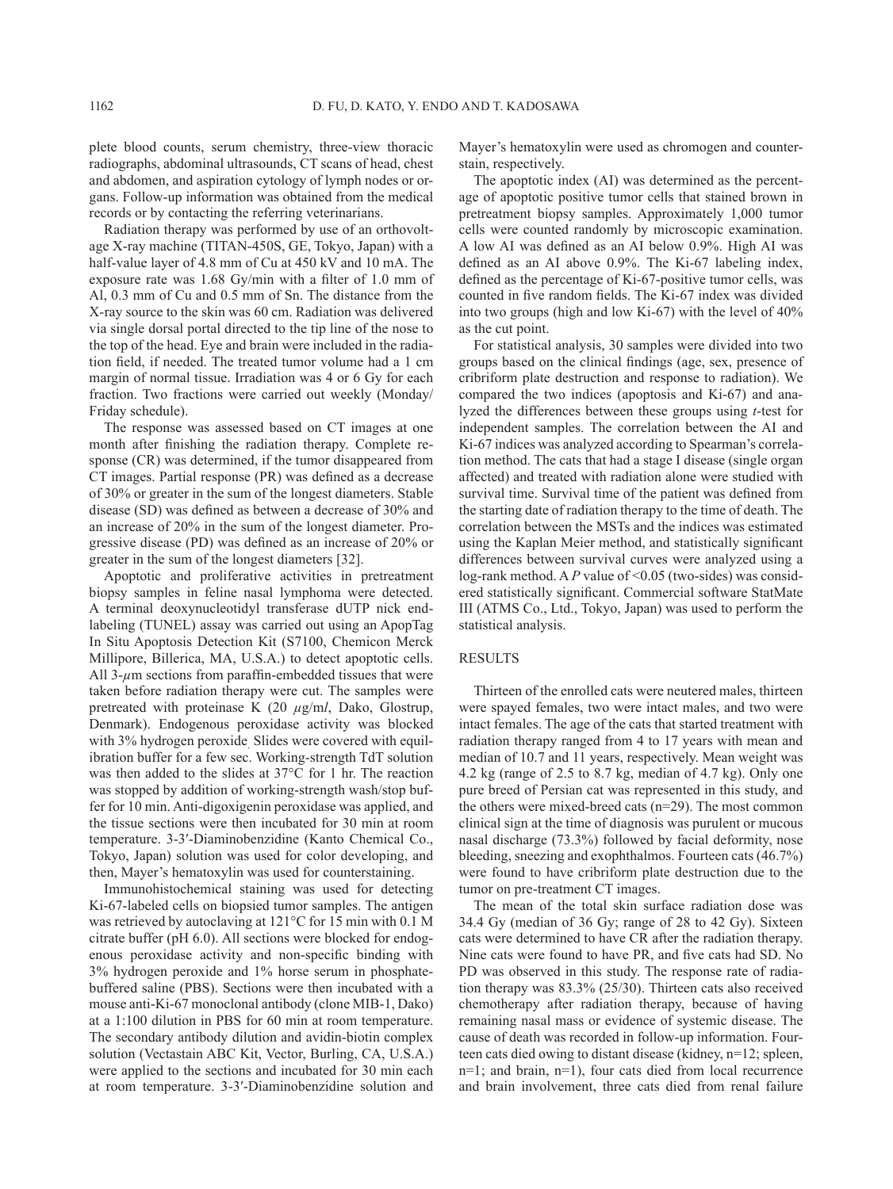plete blood counts, serum chemistry, three-view thoracic radiographs, abdominal ultrasounds, CT scans of head, chest and abdomen, and aspiration cytology of lymph nodes or organs. Follow-up information was obtained from the medical records or by contacting the referring veterinarians.

Radiation therapy was performed by use of an orthovoltage X-ray machine (TITAN-450S, GE, Tokyo, Japan) with a half-value layer of 4.8 mm of Cu at 450 kV and 10 mA. The exposure rate was 1.68 Gy/min with a filter of 1.0 mm of Al, 0.3 mm of Cu and 0.5 mm of Sn. The distance from the X-ray source to the skin was 60 cm. Radiation was delivered via single dorsal portal directed to the tip line of the nose to the top of the head. Eye and brain were included in the radiation field, if needed. The treated tumor volume had a 1 cm margin of normal tissue. Irradiation was 4 or 6 Gy for each fraction. Two fractions were carried out weekly (Monday/ Friday schedule).

The response was assessed based on CT images at one month after finishing the radiation therapy. Complete response (CR) was determined, if the tumor disappeared from CT images. Partial response (PR) was defined as a decrease of 30% or greater in the sum of the longest diameters. Stable disease (SD) was defined as between a decrease of 30% and an increase of 20% in the sum of the longest diameter. Progressive disease (PD) was defined as an increase of 20% or greater in the sum of the longest diameters [[32](#page-5-2)].

Apoptotic and proliferative activities in pretreatment biopsy samples in feline nasal lymphoma were detected. A terminal deoxynucleotidyl transferase dUTP nick endlabeling (TUNEL) assay was carried out using an ApopTag In Situ Apoptosis Detection Kit (S7100, Chemicon Merck Millipore, Billerica, MA, U.S.A.) to detect apoptotic cells. All 3-*µ*m sections from paraffin-embedded tissues that were taken before radiation therapy were cut. The samples were pretreated with proteinase K (20 *µ*g/m*l*, Dako, Glostrup, Denmark). Endogenous peroxidase activity was blocked with 3% hydrogen peroxide. Slides were covered with equilibration buffer for a few sec. Working-strength TdT solution was then added to the slides at 37°C for 1 hr. The reaction was stopped by addition of working-strength wash/stop buffer for 10 min. Anti-digoxigenin peroxidase was applied, and the tissue sections were then incubated for 30 min at room temperature. 3-3′-Diaminobenzidine (Kanto Chemical Co., Tokyo, Japan) solution was used for color developing, and then, Mayer's hematoxylin was used for counterstaining.

Immunohistochemical staining was used for detecting Ki-67-labeled cells on biopsied tumor samples. The antigen was retrieved by autoclaving at 121°C for 15 min with 0.1 M citrate buffer (pH 6.0). All sections were blocked for endogenous peroxidase activity and non-specific binding with 3% hydrogen peroxide and 1% horse serum in phosphatebuffered saline (PBS). Sections were then incubated with a mouse anti-Ki-67 monoclonal antibody (clone MIB-1, Dako) at a 1:100 dilution in PBS for 60 min at room temperature. The secondary antibody dilution and avidin-biotin complex solution (Vectastain ABC Kit, Vector, Burling, CA, U.S.A.) were applied to the sections and incubated for 30 min each at room temperature. 3-3′-Diaminobenzidine solution and

Mayer's hematoxylin were used as chromogen and counterstain, respectively.

The apoptotic index (AI) was determined as the percentage of apoptotic positive tumor cells that stained brown in pretreatment biopsy samples. Approximately 1,000 tumor cells were counted randomly by microscopic examination. A low AI was defined as an AI below 0.9%. High AI was defined as an AI above 0.9%. The Ki-67 labeling index, defined as the percentage of Ki-67-positive tumor cells, was counted in five random fields. The Ki-67 index was divided into two groups (high and low Ki-67) with the level of 40% as the cut point.

For statistical analysis, 30 samples were divided into two groups based on the clinical findings (age, sex, presence of cribriform plate destruction and response to radiation). We compared the two indices (apoptosis and Ki-67) and analyzed the differences between these groups using *t*-test for independent samples. The correlation between the AI and Ki-67 indices was analyzed according to Spearman's correlation method. The cats that had a stage I disease (single organ affected) and treated with radiation alone were studied with survival time. Survival time of the patient was defined from the starting date of radiation therapy to the time of death. The correlation between the MSTs and the indices was estimated using the Kaplan Meier method, and statistically significant differences between survival curves were analyzed using a log-rank method. A P value of <0.05 (two-sides) was considered statistically significant. Commercial software StatMate III (ATMS Co., Ltd., Tokyo, Japan) was used to perform the statistical analysis.

#### RESULTS

Thirteen of the enrolled cats were neutered males, thirteen were spayed females, two were intact males, and two were intact females. The age of the cats that started treatment with radiation therapy ranged from 4 to 17 years with mean and median of 10.7 and 11 years, respectively. Mean weight was 4.2 kg (range of 2.5 to 8.7 kg, median of 4.7 kg). Only one pure breed of Persian cat was represented in this study, and the others were mixed-breed cats (n=29). The most common clinical sign at the time of diagnosis was purulent or mucous nasal discharge (73.3%) followed by facial deformity, nose bleeding, sneezing and exophthalmos. Fourteen cats (46.7%) were found to have cribriform plate destruction due to the tumor on pre-treatment CT images.

The mean of the total skin surface radiation dose was 34.4 Gy (median of 36 Gy; range of 28 to 42 Gy). Sixteen cats were determined to have CR after the radiation therapy. Nine cats were found to have PR, and five cats had SD. No PD was observed in this study. The response rate of radiation therapy was 83.3% (25/30). Thirteen cats also received chemotherapy after radiation therapy, because of having remaining nasal mass or evidence of systemic disease. The cause of death was recorded in follow-up information. Fourteen cats died owing to distant disease (kidney, n=12; spleen, n=1; and brain, n=1), four cats died from local recurrence and brain involvement, three cats died from renal failure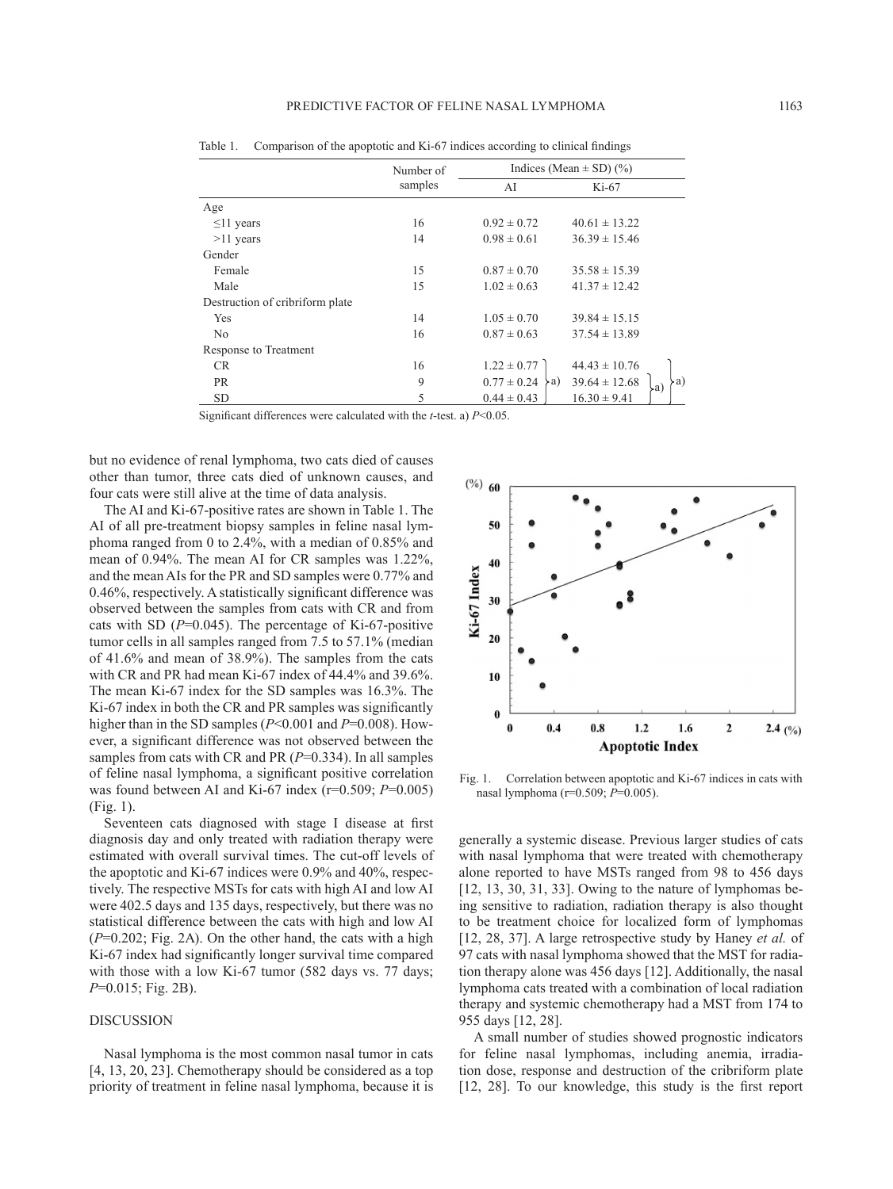|                                 | Number of<br>samples | Indices (Mean $\pm$ SD) (%)   |                                |
|---------------------------------|----------------------|-------------------------------|--------------------------------|
|                                 |                      | AI                            | $Ki-67$                        |
| Age                             |                      |                               |                                |
| $\leq$ 11 years                 | 16                   | $0.92 \pm 0.72$               | $40.61 \pm 13.22$              |
| $>11$ years                     | 14                   | $0.98 \pm 0.61$               | $36.39 \pm 15.46$              |
| Gender                          |                      |                               |                                |
| Female                          | 15                   | $0.87 \pm 0.70$               | $35.58 \pm 15.39$              |
| Male                            | 15                   | $1.02 \pm 0.63$               | $41.37 \pm 12.42$              |
| Destruction of cribriform plate |                      |                               |                                |
| Yes                             | 14                   | $1.05 \pm 0.70$               | $39.84 \pm 15.15$              |
| N <sub>0</sub>                  | 16                   | $0.87 \pm 0.63$               | $37.54 \pm 13.89$              |
| Response to Treatment           |                      |                               |                                |
| CR.                             | 16                   | $1.22 \pm 0.77$               | $44.43 \pm 10.76$              |
| <b>PR</b>                       | 9                    | $0.77 \pm 0.24$<br>$\angle a$ | $39.64 \pm 12.68$<br>a)<br>la∖ |
| <b>SD</b>                       | 5                    | $0.44 \pm 0.43$               | $16.30 \pm 9.41$               |

Table 1. Comparison of the apoptotic and Ki-67 indices according to clinical findings

Significant differences were calculated with the *t*-test. a) *P*<0.05.

but no evidence of renal lymphoma, two cats died of causes other than tumor, three cats died of unknown causes, and four cats were still alive at the time of data analysis.

The AI and Ki-67-positive rates are shown in Table 1. The AI of all pre-treatment biopsy samples in feline nasal lymphoma ranged from 0 to 2.4%, with a median of 0.85% and mean of 0.94%. The mean AI for CR samples was 1.22%, and the mean AIs for the PR and SD samples were 0.77% and 0.46%, respectively. A statistically significant difference was observed between the samples from cats with CR and from cats with SD (*P*=0.045). The percentage of Ki-67-positive tumor cells in all samples ranged from 7.5 to 57.1% (median of 41.6% and mean of 38.9%). The samples from the cats with CR and PR had mean Ki-67 index of 44.4% and 39.6%. The mean Ki-67 index for the SD samples was 16.3%. The Ki-67 index in both the CR and PR samples was significantly higher than in the SD samples (*P*<0.001 and *P*=0.008). However, a significant difference was not observed between the samples from cats with CR and PR (*P*=0.334). In all samples of feline nasal lymphoma, a significant positive correlation was found between AI and Ki-67 index (r=0.509; *P*=0.005) (Fig. 1).

Seventeen cats diagnosed with stage I disease at first diagnosis day and only treated with radiation therapy were estimated with overall survival times. The cut-off levels of the apoptotic and Ki-67 indices were 0.9% and 40%, respectively. The respective MSTs for cats with high AI and low AI were 402.5 days and 135 days, respectively, but there was no statistical difference between the cats with high and low AI (*P*=0.202; Fig. 2A). On the other hand, the cats with a high Ki-67 index had significantly longer survival time compared with those with a low Ki-67 tumor (582 days vs. 77 days; *P*=0.015; Fig. 2B).

## DISCUSSION

Nasal lymphoma is the most common nasal tumor in cats [[4, 13, 20, 23](#page-4-5)]. Chemotherapy should be considered as a top priority of treatment in feline nasal lymphoma, because it is



Fig. 1. Correlation between apoptotic and Ki-67 indices in cats with nasal lymphoma (r=0.509; *P*=0.005).

generally a systemic disease. Previous larger studies of cats with nasal lymphoma that were treated with chemotherapy alone reported to have MSTs ranged from 98 to 456 days [\[12, 13, 30, 31, 33\]](#page-4-4). Owing to the nature of lymphomas being sensitive to radiation, radiation therapy is also thought to be treatment choice for localized form of lymphomas [\[12, 28, 37\]](#page-4-4). A large retrospective study by Haney *et al.* of 97 cats with nasal lymphoma showed that the MST for radiation therapy alone was 456 days [\[12\]](#page-4-4). Additionally, the nasal lymphoma cats treated with a combination of local radiation therapy and systemic chemotherapy had a MST from 174 to 955 days [[12, 28\]](#page-4-4).

A small number of studies showed prognostic indicators for feline nasal lymphomas, including anemia, irradiation dose, response and destruction of the cribriform plate [\[12, 28](#page-4-4)]. To our knowledge, this study is the first report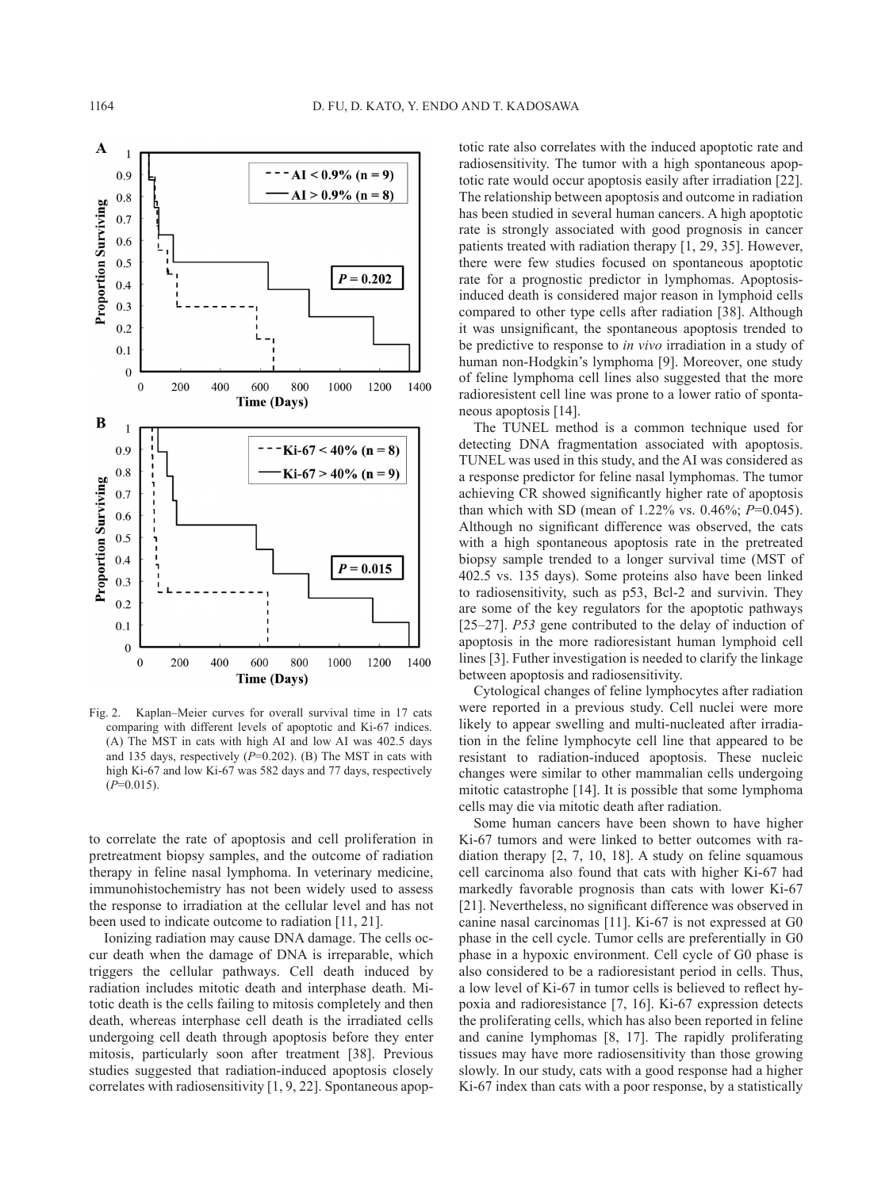

Fig. 2. Kaplan–Meier curves for overall survival time in 17 cats comparing with different levels of apoptotic and Ki-67 indices. (A) The MST in cats with high AI and low AI was 402.5 days and 135 days, respectively (*P*=0.202). (B) The MST in cats with high Ki-67 and low Ki-67 was 582 days and 77 days, respectively  $(P=0.015)$ .

to correlate the rate of apoptosis and cell proliferation in pretreatment biopsy samples, and the outcome of radiation therapy in feline nasal lymphoma. In veterinary medicine, immunohistochemistry has not been widely used to assess the response to irradiation at the cellular level and has not been used to indicate outcome to radiation [[11, 21](#page-4-6)].

Ionizing radiation may cause DNA damage. The cells occur death when the damage of DNA is irreparable, which triggers the cellular pathways. Cell death induced by radiation includes mitotic death and interphase death. Mitotic death is the cells failing to mitosis completely and then death, whereas interphase cell death is the irradiated cells undergoing cell death through apoptosis before they enter mitosis, particularly soon after treatment [\[38\]](#page-5-3). Previous studies suggested that radiation-induced apoptosis closely correlates with radiosensitivity [\[1, 9, 22](#page-4-0)]. Spontaneous apoptotic rate also correlates with the induced apoptotic rate and radiosensitivity. The tumor with a high spontaneous apoptotic rate would occur apoptosis easily after irradiation [[22](#page-5-4)]. The relationship between apoptosis and outcome in radiation has been studied in several human cancers. A high apoptotic rate is strongly associated with good prognosis in cancer patients treated with radiation therapy [\[1, 29, 35\]](#page-4-0). However, there were few studies focused on spontaneous apoptotic rate for a prognostic predictor in lymphomas. Apoptosisinduced death is considered major reason in lymphoid cells compared to other type cells after radiation [[38](#page-5-3)]. Although it was unsignificant, the spontaneous apoptosis trended to be predictive to response to *in vivo* irradiation in a study of human non-Hodgkin's lymphoma [\[9](#page-4-7)]. Moreover, one study of feline lymphoma cell lines also suggested that the more radioresistent cell line was prone to a lower ratio of spontaneous apoptosis [\[14\]](#page-4-8).

The TUNEL method is a common technique used for detecting DNA fragmentation associated with apoptosis. TUNEL was used in this study, and the AI was considered as a response predictor for feline nasal lymphomas. The tumor achieving CR showed significantly higher rate of apoptosis than which with SD (mean of 1.22% vs. 0.46%; *P*=0.045). Although no significant difference was observed, the cats with a high spontaneous apoptosis rate in the pretreated biopsy sample trended to a longer survival time (MST of 402.5 vs. 135 days). Some proteins also have been linked to radiosensitivity, such as p53, Bcl-2 and survivin. They are some of the key regulators for the apoptotic pathways [\[25–27](#page-5-5)]. *P53* gene contributed to the delay of induction of apoptosis in the more radioresistant human lymphoid cell lines [\[3](#page-4-9)]. Futher investigation is needed to clarify the linkage between apoptosis and radiosensitivity.

Cytological changes of feline lymphocytes after radiation were reported in a previous study. Cell nuclei were more likely to appear swelling and multi-nucleated after irradiation in the feline lymphocyte cell line that appeared to be resistant to radiation-induced apoptosis. These nucleic changes were similar to other mammalian cells undergoing mitotic catastrophe [\[14\]](#page-4-8). It is possible that some lymphoma cells may die via mitotic death after radiation.

Some human cancers have been shown to have higher Ki-67 tumors and were linked to better outcomes with radiation therapy [\[2, 7, 10, 18](#page-4-1)]. A study on feline squamous cell carcinoma also found that cats with higher Ki-67 had markedly favorable prognosis than cats with lower Ki-67 [\[21\]](#page-4-2). Nevertheless, no significant difference was observed in canine nasal carcinomas [\[11](#page-4-6)]. Ki-67 is not expressed at G0 phase in the cell cycle. Tumor cells are preferentially in G0 phase in a hypoxic environment. Cell cycle of G0 phase is also considered to be a radioresistant period in cells. Thus, a low level of Ki-67 in tumor cells is believed to reflect hypoxia and radioresistance [\[7, 16](#page-4-10)]. Ki-67 expression detects the proliferating cells, which has also been reported in feline and canine lymphomas [\[8, 17](#page-4-11)]. The rapidly proliferating tissues may have more radiosensitivity than those growing slowly. In our study, cats with a good response had a higher Ki-67 index than cats with a poor response, by a statistically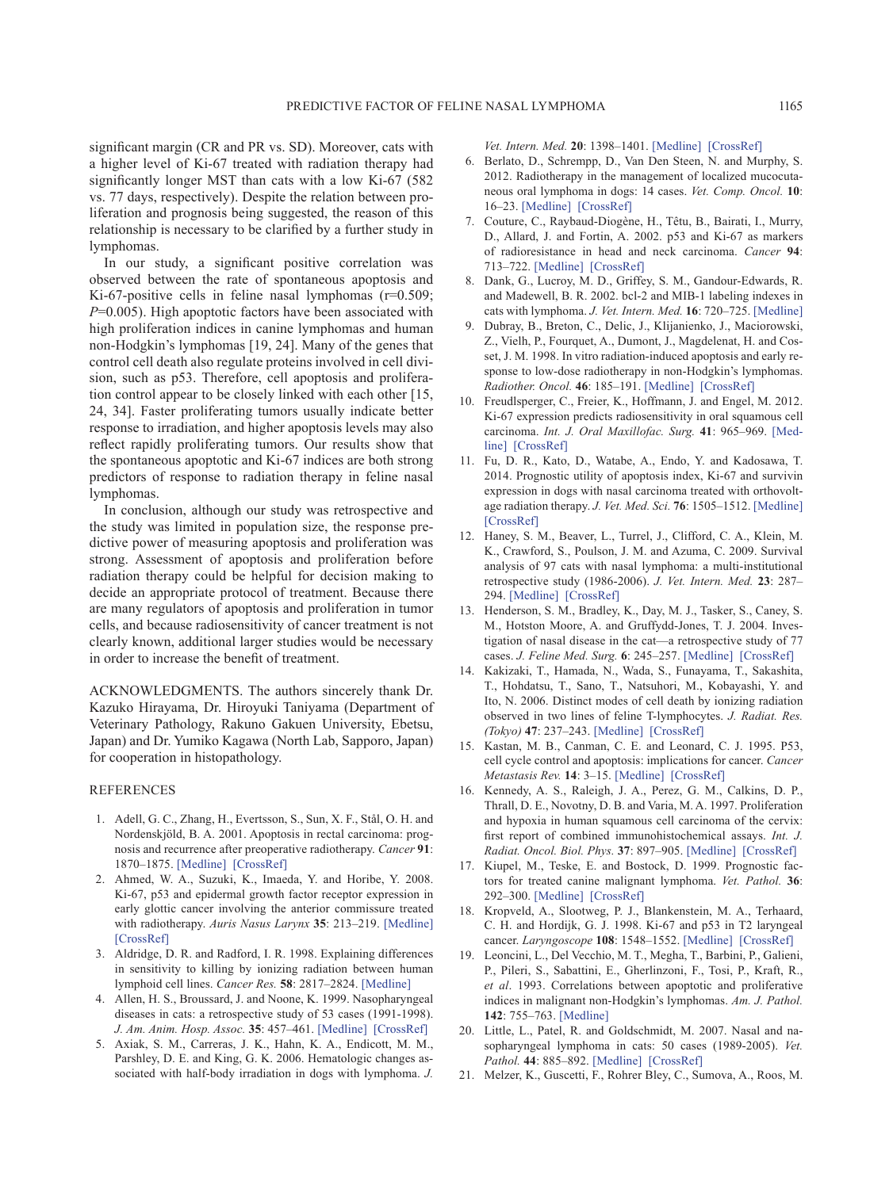significant margin (CR and PR vs. SD). Moreover, cats with a higher level of Ki-67 treated with radiation therapy had significantly longer MST than cats with a low Ki-67 (582 vs. 77 days, respectively). Despite the relation between proliferation and prognosis being suggested, the reason of this relationship is necessary to be clarified by a further study in lymphomas.

In our study, a significant positive correlation was observed between the rate of spontaneous apoptosis and Ki-67-positive cells in feline nasal lymphomas (r=0.509; *P*=0.005). High apoptotic factors have been associated with high proliferation indices in canine lymphomas and human non-Hodgkin's lymphomas [\[19, 24](#page-4-12)]. Many of the genes that control cell death also regulate proteins involved in cell division, such as p53. Therefore, cell apoptosis and proliferation control appear to be closely linked with each other [\[15,](#page-4-13) [24, 34\]](#page-4-13). Faster proliferating tumors usually indicate better response to irradiation, and higher apoptosis levels may also reflect rapidly proliferating tumors. Our results show that the spontaneous apoptotic and Ki-67 indices are both strong predictors of response to radiation therapy in feline nasal lymphomas.

In conclusion, although our study was retrospective and the study was limited in population size, the response predictive power of measuring apoptosis and proliferation was strong. Assessment of apoptosis and proliferation before radiation therapy could be helpful for decision making to decide an appropriate protocol of treatment. Because there are many regulators of apoptosis and proliferation in tumor cells, and because radiosensitivity of cancer treatment is not clearly known, additional larger studies would be necessary in order to increase the benefit of treatment.

ACKNOWLEDGMENTS. The authors sincerely thank Dr. Kazuko Hirayama, Dr. Hiroyuki Taniyama (Department of Veterinary Pathology, Rakuno Gakuen University, Ebetsu, Japan) and Dr. Yumiko Kagawa (North Lab, Sapporo, Japan) for cooperation in histopathology.

#### **REFERENCES**

- <span id="page-4-0"></span>1. Adell, G. C., Zhang, H., Evertsson, S., Sun, X. F., Stål, O. H. and Nordenskjöld, B. A. 2001. Apoptosis in rectal carcinoma: prognosis and recurrence after preoperative radiotherapy. *Cancer* **91**: 1870–1875. [\[Medline\]](http://www.ncbi.nlm.nih.gov/pubmed/11346868?dopt=Abstract) [\[CrossRef\]](http://dx.doi.org/10.1002/1097-0142(20010515)91:10<1870::AID-CNCR1208>3.0.CO;2-1)
- <span id="page-4-1"></span>2. Ahmed, W. A., Suzuki, K., Imaeda, Y. and Horibe, Y. 2008. Ki-67, p53 and epidermal growth factor receptor expression in early glottic cancer involving the anterior commissure treated with radiotherapy. *Auris Nasus Larynx* **35**: 213–219. [\[Medline\]](http://www.ncbi.nlm.nih.gov/pubmed/17996416?dopt=Abstract) [\[CrossRef\]](http://dx.doi.org/10.1016/j.anl.2007.08.011)
- <span id="page-4-9"></span>3. Aldridge, D. R. and Radford, I. R. 1998. Explaining differences in sensitivity to killing by ionizing radiation between human lymphoid cell lines. *Cancer Res.* **58**: 2817–2824. [\[Medline\]](http://www.ncbi.nlm.nih.gov/pubmed/9661896?dopt=Abstract)
- <span id="page-4-5"></span>4. Allen, H. S., Broussard, J. and Noone, K. 1999. Nasopharyngeal diseases in cats: a retrospective study of 53 cases (1991-1998). *J. Am. Anim. Hosp. Assoc.* **35**: 457–461. [\[Medline\]](http://www.ncbi.nlm.nih.gov/pubmed/10580903?dopt=Abstract) [\[CrossRef\]](http://dx.doi.org/10.5326/15473317-35-6-457)
- <span id="page-4-3"></span>5. Axiak, S. M., Carreras, J. K., Hahn, K. A., Endicott, M. M., Parshley, D. E. and King, G. K. 2006. Hematologic changes associated with half-body irradiation in dogs with lymphoma. *J.*

*Vet. Intern. Med.* **20**: 1398–1401. [\[Medline\]](http://www.ncbi.nlm.nih.gov/pubmed/17186856?dopt=Abstract) [\[CrossRef\]](http://dx.doi.org/10.1111/j.1939-1676.2006.tb00757.x)

- 6. Berlato, D., Schrempp, D., Van Den Steen, N. and Murphy, S. 2012. Radiotherapy in the management of localized mucocutaneous oral lymphoma in dogs: 14 cases. *Vet. Comp. Oncol.* **10**: 16–23. [\[Medline\]](http://www.ncbi.nlm.nih.gov/pubmed/22236033?dopt=Abstract) [\[CrossRef\]](http://dx.doi.org/10.1111/j.1476-5829.2011.00270.x)
- <span id="page-4-10"></span>7. Couture, C., Raybaud-Diogène, H., Têtu, B., Bairati, I., Murry, D., Allard, J. and Fortin, A. 2002. p53 and Ki-67 as markers of radioresistance in head and neck carcinoma. *Cancer* **94**: 713–722. [\[Medline\]](http://www.ncbi.nlm.nih.gov/pubmed/11857304?dopt=Abstract) [\[CrossRef\]](http://dx.doi.org/10.1002/cncr.10232)
- <span id="page-4-11"></span>8. Dank, G., Lucroy, M. D., Griffey, S. M., Gandour-Edwards, R. and Madewell, B. R. 2002. bcl-2 and MIB-1 labeling indexes in cats with lymphoma. *J. Vet. Intern. Med.* **16**: 720–725. [\[Medline\]](http://www.ncbi.nlm.nih.gov/pubmed/12465771?dopt=Abstract)
- <span id="page-4-7"></span>9. Dubray, B., Breton, C., Delic, J., Klijanienko, J., Maciorowski, Z., Vielh, P., Fourquet, A., Dumont, J., Magdelenat, H. and Cosset, J. M. 1998. In vitro radiation-induced apoptosis and early response to low-dose radiotherapy in non-Hodgkin's lymphomas. *Radiother. Oncol.* **46**: 185–191. [\[Medline\]](http://www.ncbi.nlm.nih.gov/pubmed/9510046?dopt=Abstract) [\[CrossRef\]](http://dx.doi.org/10.1016/S0167-8140(97)00148-5)
- 10. Freudlsperger, C., Freier, K., Hoffmann, J. and Engel, M. 2012. Ki-67 expression predicts radiosensitivity in oral squamous cell carcinoma. *Int. J. Oral Maxillofac. Surg.* **41**: 965–969. [\[Med](http://www.ncbi.nlm.nih.gov/pubmed/22591716?dopt=Abstract)[line\]](http://www.ncbi.nlm.nih.gov/pubmed/22591716?dopt=Abstract) [\[CrossRef\]](http://dx.doi.org/10.1016/j.ijom.2012.04.014)
- <span id="page-4-6"></span>11. Fu, D. R., Kato, D., Watabe, A., Endo, Y. and Kadosawa, T. 2014. Prognostic utility of apoptosis index, Ki-67 and survivin expression in dogs with nasal carcinoma treated with orthovoltage radiation therapy. *J. Vet. Med. Sci.* **76**: 1505–1512. [\[Medline\]](http://www.ncbi.nlm.nih.gov/pubmed/25452259?dopt=Abstract) [\[CrossRef\]](http://dx.doi.org/10.1292/jvms.14-0245)
- <span id="page-4-4"></span>12. Haney, S. M., Beaver, L., Turrel, J., Clifford, C. A., Klein, M. K., Crawford, S., Poulson, J. M. and Azuma, C. 2009. Survival analysis of 97 cats with nasal lymphoma: a multi-institutional retrospective study (1986-2006). *J. Vet. Intern. Med.* **23**: 287– 294. [\[Medline\]](http://www.ncbi.nlm.nih.gov/pubmed/19143934?dopt=Abstract) [\[CrossRef\]](http://dx.doi.org/10.1111/j.1939-1676.2008.0243.x)
- 13. Henderson, S. M., Bradley, K., Day, M. J., Tasker, S., Caney, S. M., Hotston Moore, A. and Gruffydd-Jones, T. J. 2004. Investigation of nasal disease in the cat—a retrospective study of 77 cases. *J. Feline Med. Surg.* **6**: 245–257. [\[Medline\]](http://www.ncbi.nlm.nih.gov/pubmed/15265480?dopt=Abstract) [\[CrossRef\]](http://dx.doi.org/10.1016/j.jfms.2003.08.005)
- <span id="page-4-8"></span>14. Kakizaki, T., Hamada, N., Wada, S., Funayama, T., Sakashita, T., Hohdatsu, T., Sano, T., Natsuhori, M., Kobayashi, Y. and Ito, N. 2006. Distinct modes of cell death by ionizing radiation observed in two lines of feline T-lymphocytes. *J. Radiat. Res. (Tokyo)* **47**: 237–243. [\[Medline\]](http://www.ncbi.nlm.nih.gov/pubmed/16960338?dopt=Abstract) [\[CrossRef\]](http://dx.doi.org/10.1269/jrr.0618)
- <span id="page-4-13"></span>15. Kastan, M. B., Canman, C. E. and Leonard, C. J. 1995. P53, cell cycle control and apoptosis: implications for cancer. *Cancer Metastasis Rev.* **14**: 3–15. [\[Medline\]](http://www.ncbi.nlm.nih.gov/pubmed/7606818?dopt=Abstract) [\[CrossRef\]](http://dx.doi.org/10.1007/BF00690207)
- 16. Kennedy, A. S., Raleigh, J. A., Perez, G. M., Calkins, D. P., Thrall, D. E., Novotny, D. B. and Varia, M. A. 1997. Proliferation and hypoxia in human squamous cell carcinoma of the cervix: first report of combined immunohistochemical assays. *Int. J. Radiat. Oncol. Biol. Phys.* **37**: 897–905. [\[Medline\]](http://www.ncbi.nlm.nih.gov/pubmed/9128967?dopt=Abstract) [\[CrossRef\]](http://dx.doi.org/10.1016/S0360-3016(96)00539-1)
- 17. Kiupel, M., Teske, E. and Bostock, D. 1999. Prognostic factors for treated canine malignant lymphoma. *Vet. Pathol.* **36**: 292–300. [\[Medline\]](http://www.ncbi.nlm.nih.gov/pubmed/10421095?dopt=Abstract) [\[CrossRef\]](http://dx.doi.org/10.1354/vp.36-4-292)
- 18. Kropveld, A., Slootweg, P. J., Blankenstein, M. A., Terhaard, C. H. and Hordijk, G. J. 1998. Ki-67 and p53 in T2 laryngeal cancer. *Laryngoscope* **108**: 1548–1552. [\[Medline\]](http://www.ncbi.nlm.nih.gov/pubmed/9778299?dopt=Abstract) [\[CrossRef\]](http://dx.doi.org/10.1097/00005537-199810000-00023)
- <span id="page-4-12"></span>19. Leoncini, L., Del Vecchio, M. T., Megha, T., Barbini, P., Galieni, P., Pileri, S., Sabattini, E., Gherlinzoni, F., Tosi, P., Kraft, R., *et al*. 1993. Correlations between apoptotic and proliferative indices in malignant non-Hodgkin's lymphomas. *Am. J. Pathol.* **142**: 755–763. [\[Medline\]](http://www.ncbi.nlm.nih.gov/pubmed/7681257?dopt=Abstract)
- 20. Little, L., Patel, R. and Goldschmidt, M. 2007. Nasal and nasopharyngeal lymphoma in cats: 50 cases (1989-2005). *Vet. Pathol.* **44**: 885–892. [\[Medline\]](http://www.ncbi.nlm.nih.gov/pubmed/18039901?dopt=Abstract) [\[CrossRef\]](http://dx.doi.org/10.1354/vp.44-6-885)
- <span id="page-4-2"></span>21. Melzer, K., Guscetti, F., Rohrer Bley, C., Sumova, A., Roos, M.